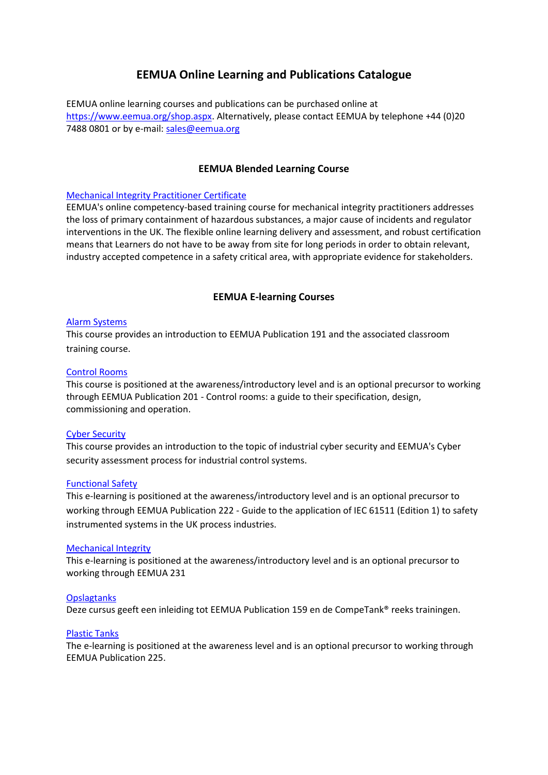# **EEMUA Online Learning and Publications Catalogue**

EEMUA online learning courses and publications can be purchased online at [https://www.eemua.org/shop.aspx.](https://www.eemua.org/shop.aspx) Alternatively, please contact EEMUA by telephone +44 (0)20 7488 0801 or by e-mail: [sales@eemua.org](mailto:sales@eemua.org)

## **EEMUA Blended Learning Course**

### [Mechanical Integrity Practitioner Certificate](https://www.eemua.org/Training-and-competency/MIPC/MIPC-general.aspx)

EEMUA's online competency-based training course for mechanical integrity practitioners addresses the loss of primary containment of hazardous substances, a major cause of incidents and regulator interventions in the UK. The flexible online learning delivery and assessment, and robust certification means that Learners do not have to be away from site for long periods in order to obtain relevant, industry accepted competence in a safety critical area, with appropriate evidence for stakeholders.

## **EEMUA E-learning Courses**

#### [Alarm Systems](https://www.eemua.org/e-learning/Alarms-e-learning.aspx)

This course provides an introduction to EEMUA Publication 191 and the associated classroom training course.

#### [Control Rooms](https://www.eemua.org/e-learning/control-rooms.aspx)

This course is positioned at the awareness/introductory level and is an optional precursor to working through EEMUA Publication 201 - Control rooms: a guide to their specification, design, commissioning and operation.

#### [Cyber Security](https://www.eemua.org/e-learning/Cyber-Security-e-learning.aspx)

This course provides an introduction to the topic of industrial cyber security and EEMUA's Cyber security assessment process for industrial control systems.

#### [Functional Safety](https://www.eemua.org/e-learning/Functional-Safety-e-learning.aspx)

This e-learning is positioned at the awareness/introductory level and is an optional precursor to working through EEMUA Publication 222 - Guide to the application of IEC 61511 (Edition 1) to safety instrumented systems in the UK process industries.

#### [Mechanical Integrity](https://www.eemua.org/e-learning/MI-e-learning.aspx)

This e-learning is positioned at the awareness/introductory level and is an optional precursor to working through EEMUA 231

## **[Opslagtanks](https://www.eemua.org/e-learning/Opslagtanks-e-learning.aspx)**

Deze cursus geeft een inleiding tot EEMUA Publication 159 en de CompeTank® reeks trainingen.

#### [Plastic Tanks](https://www.eemua.org/e-learning/Plastic-Tanks-e-learning.aspx?viewmode=0)

The e-learning is positioned at the awareness level and is an optional precursor to working through EEMUA Publication 225.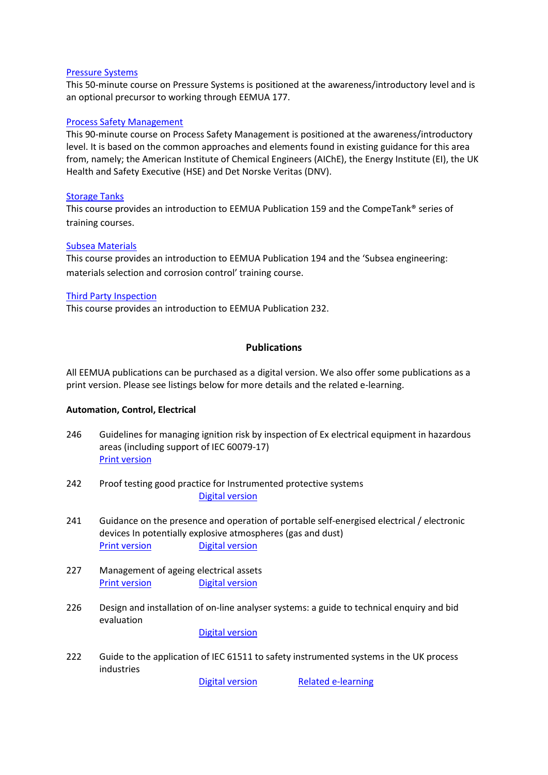### [Pressure Systems](https://www.eemua.org/e-learning/Pressure.aspx)

This 50-minute course on Pressure Systems is positioned at the awareness/introductory level and is an optional precursor to working through EEMUA 177.

## [Process Safety Management](https://www.eemua.org/e-learning/PSM.aspx)

This 90-minute course on Process Safety Management is positioned at the awareness/introductory level. It is based on the common approaches and elements found in existing guidance for this area from, namely; the American Institute of Chemical Engineers (AIChE), the Energy Institute (EI), the UK Health and Safety Executive (HSE) and Det Norske Veritas (DNV).

## [Storage Tanks](https://www.eemua.org/e-learning/Storage-Tanks-e-learning.aspx)

This course provides an introduction to EEMUA Publication 159 and the CompeTank® series of training courses.

## [Subsea Materials](https://www.eemua.org/e-learning/Subsea-Materials-e-learning.aspx)

This course provides an introduction to EEMUA Publication 194 and the 'Subsea engineering: materials selection and corrosion control' training course.

## [Third Party Inspection](https://www.eemua.org/e-learning/TPI-e-learning.aspx)

This course provides an introduction to EEMUA Publication 232.

## **Publications**

All EEMUA publications can be purchased as a digital version. We also offer some publications as a print version. Please see listings below for more details and the related e-learning.

## **Automation, Control, Electrical**

- 246 Guidelines for managing ignition risk by inspection of Ex electrical equipment in hazardous areas (including support of IEC 60079-17) [Print version](https://www.eemua.org/Products/Publications/Print/EEMUA-Publication-246.aspx)
- 242 Proof testing good practice for Instrumented protective systems [Digital version](https://www.eemua.org/Products/Publications/Digital/EEMUA-Publication-242-Digital.aspx)
- 241 Guidance on the presence and operation of portable self-energised electrical / electronic devices In potentially explosive atmospheres (gas and dust) **[Print version](https://www.eemua.org/Products/Publications/Print/EEMUA-Publication-241.aspx)** [Digital version](https://publishing.energyinst.org/topics/electrical-safety/guidance-on-the-presence-and-operation-of-portable-self-energised-electricalelectronic-devices-in-potentially-explosive-atmospheres-gas-and-dust)
- 227 Management of ageing electrical assets [Print version](https://www.eemua.org/Products/Publications/Print/EEMUA-Publication-227.aspx) [Digital version](https://www.eemua.org/Products/Publications/Digital/EEMUA-Publication-227-Digital.aspx)
- 226 Design and installation of on-line analyser systems: a guide to technical enquiry and bid evaluation

[Digital version](https://www.eemua.org/Products/Publications/Digital/EEMUA-Publication-226.aspx)

222 Guide to the application of IEC 61511 to safety instrumented systems in the UK process industries

[Digital version](http://www.eemua.org/Products/Publications/Digital/EEMUA-Publication-222.aspx) [Related e-learning](https://www.eemua.org/e-learning/Functional-Safety-e-learning.aspx)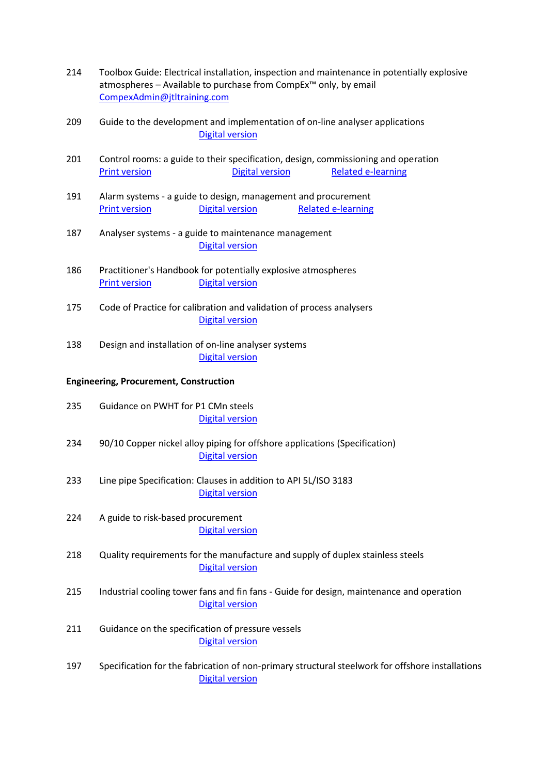- 214 Toolbox Guide: Electrical installation, inspection and maintenance in potentially explosive atmospheres – Available to purchase from CompEx™ only, by email [CompexAdmin@jtltraining.com](mailto:CompexAdmin@jtltraining.com)
- 209 Guide to the development and implementation of on-line analyser applications [Digital version](https://www.eemua.org/Products/Publications/Digital/EEMUA-Publication-209.aspx)
- 201 Control rooms: a guide to their specification, design, commissioning and operation [Print version](https://www.eemua.org/Products/Publications/Print/EEMUA-Publication-201.aspx) **[Digital version](http://www.eemua.org/Products/Publications/Digital/EEMUA-Publication-201.aspx)** [Related e-learning](https://www.eemua.org/e-learning/control-rooms.aspx)
- 191 Alarm systems a guide to design, management and procurement **[Print version](https://www.eemua.org/Products/Publications/Print/EEMUA-Publication-191.aspx) [Digital version](https://www.eemua.org/Products/Publications/Digital/EEMUA-Publication-191.aspx) [Related e-learning](https://www.eemua.org/e-learning/Alarms-e-learning.aspx)**
- 187 Analyser systems a guide to maintenance management [Digital version](https://www.eemua.org/Products/Publications/Digital/EEMUA-Publication-187.aspx)
- 186 Practitioner's Handbook for potentially explosive atmospheres [Print version](https://www.eemua.org/Products/Publications/Print/EEMUA-Publication-186.aspx) [Digital version](https://www.eemua.org/Products/Publications/Digital/EEMUA-Publication-186-Digital.aspx)
- 175 Code of Practice for calibration and validation of process analysers [Digital version](https://www.eemua.org/Products/Publications/Digital/EEMUA-Publication-175.aspx)
- 138 Design and installation of on-line analyser systems [Digital version](https://www.eemua.org/Products/Publications/Digital/EEMUA-Publication-138.aspx)

## **Engineering, Procurement, Construction**

- 235 Guidance on PWHT for P1 CMn steels [Digital version](https://www.eemua.org/Products/Publications/Digital/EEMUA-Publication-235-Digital.aspx)
- 234 90/10 Copper nickel alloy piping for offshore applications (Specification) [Digital version](http://www.eemua.org/Products/Publications/Digital/EEMUA-Publication-234.aspx)
- 233 Line pipe Specification: Clauses in addition to API 5L/ISO 3183 [Digital version](https://www.eemua.org/Products/Publications/Digital/EEMUA-Publication-233.aspx)
- 224 A guide to risk-based procurement [Digital version](https://www.eemua.org/Products/Publications/Digital/EEMUA-Publication-224.aspx)
- 218 Quality requirements for the manufacture and supply of duplex stainless steels [Digital version](http://www.eemua.org/Products/Publications/Digital/EEMUA-Publication-218.aspx)
- 215 Industrial cooling tower fans and fin fans Guide for design, maintenance and operation [Digital version](http://www.eemua.org/Products/Publications/Digital/EEMUA-Publication-215.aspx)
- 211 Guidance on the specification of pressure vessels [Digital version](http://www.eemua.org/Products/Publications/Digital/EEMUA-Publication-211.aspx)
- 197 Specification for the fabrication of non-primary structural steelwork for offshore installations [Digital version](http://www.eemua.org/Products/Publications/Digital/EEMUA-Publication-197.aspx)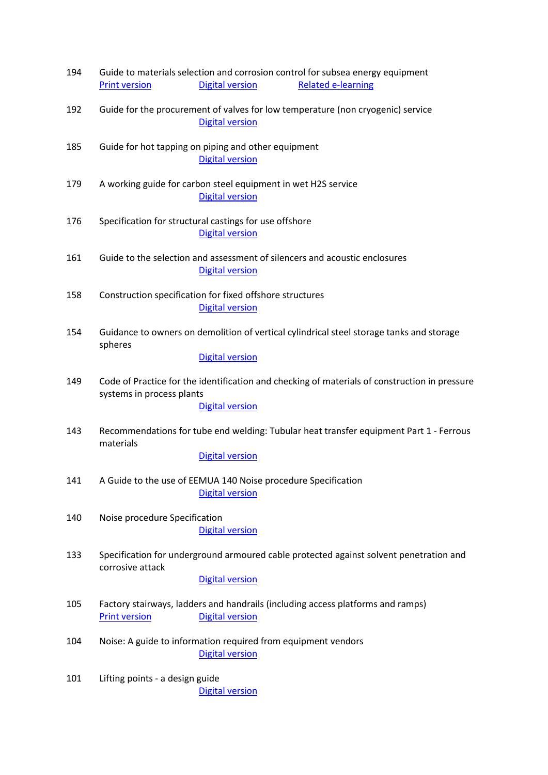| 194 |                                                                                                                            |                                                                                                           | Guide to materials selection and corrosion control for subsea energy equipment           |  |  |  |
|-----|----------------------------------------------------------------------------------------------------------------------------|-----------------------------------------------------------------------------------------------------------|------------------------------------------------------------------------------------------|--|--|--|
|     | <b>Print version</b>                                                                                                       | <b>Digital version</b>                                                                                    | <b>Related e-learning</b>                                                                |  |  |  |
| 192 |                                                                                                                            | Guide for the procurement of valves for low temperature (non cryogenic) service<br><b>Digital version</b> |                                                                                          |  |  |  |
| 185 | Guide for hot tapping on piping and other equipment<br><b>Digital version</b>                                              |                                                                                                           |                                                                                          |  |  |  |
| 179 |                                                                                                                            | A working guide for carbon steel equipment in wet H2S service<br><b>Digital version</b>                   |                                                                                          |  |  |  |
| 176 | Specification for structural castings for use offshore<br><b>Digital version</b>                                           |                                                                                                           |                                                                                          |  |  |  |
| 161 |                                                                                                                            | <b>Digital version</b>                                                                                    | Guide to the selection and assessment of silencers and acoustic enclosures               |  |  |  |
| 158 | Construction specification for fixed offshore structures<br><b>Digital version</b>                                         |                                                                                                           |                                                                                          |  |  |  |
| 154 | spheres                                                                                                                    |                                                                                                           | Guidance to owners on demolition of vertical cylindrical steel storage tanks and storage |  |  |  |
|     |                                                                                                                            | <b>Digital version</b>                                                                                    |                                                                                          |  |  |  |
| 149 | Code of Practice for the identification and checking of materials of construction in pressure<br>systems in process plants |                                                                                                           |                                                                                          |  |  |  |
|     |                                                                                                                            | <b>Digital version</b>                                                                                    |                                                                                          |  |  |  |
| 143 | Recommendations for tube end welding: Tubular heat transfer equipment Part 1 - Ferrous<br>materials                        |                                                                                                           |                                                                                          |  |  |  |
|     |                                                                                                                            | <b>Digital version</b>                                                                                    |                                                                                          |  |  |  |
| 141 | A Guide to the use of EEMUA 140 Noise procedure Specification<br><b>Digital version</b>                                    |                                                                                                           |                                                                                          |  |  |  |
| 140 | Noise procedure Specification                                                                                              | <b>Digital version</b>                                                                                    |                                                                                          |  |  |  |
| 133 | Specification for underground armoured cable protected against solvent penetration and<br>corrosive attack                 |                                                                                                           |                                                                                          |  |  |  |
|     |                                                                                                                            | <b>Digital version</b>                                                                                    |                                                                                          |  |  |  |
| 105 | <b>Print version</b>                                                                                                       | <b>Digital version</b>                                                                                    | Factory stairways, ladders and handrails (including access platforms and ramps)          |  |  |  |
| 104 | Noise: A guide to information required from equipment vendors<br><b>Digital version</b>                                    |                                                                                                           |                                                                                          |  |  |  |
| 101 | Lifting points - a design guide                                                                                            | <b>Digital version</b>                                                                                    |                                                                                          |  |  |  |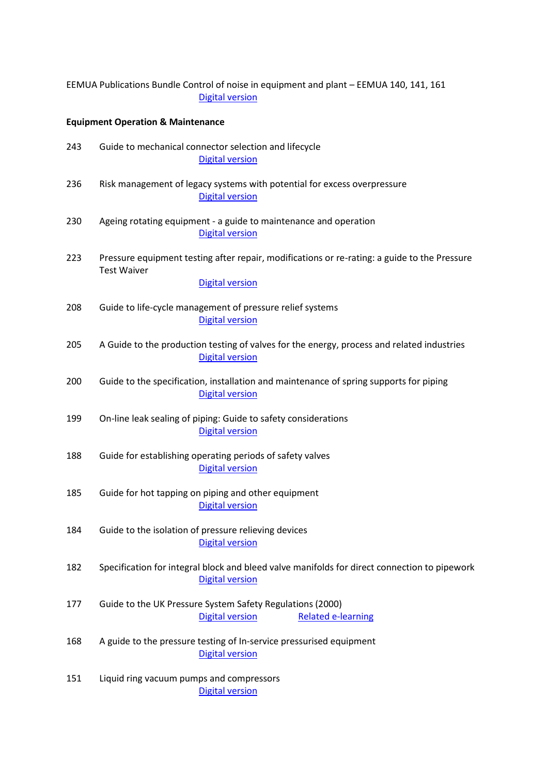|                                              | EEMUA Publications Bundle Control of noise in equipment and plant - EEMUA 140, 141, 161<br><b>Digital version</b>      |  |  |  |  |  |
|----------------------------------------------|------------------------------------------------------------------------------------------------------------------------|--|--|--|--|--|
| <b>Equipment Operation &amp; Maintenance</b> |                                                                                                                        |  |  |  |  |  |
| 243                                          | Guide to mechanical connector selection and lifecycle<br><b>Digital version</b>                                        |  |  |  |  |  |
| 236                                          | Risk management of legacy systems with potential for excess overpressure<br><b>Digital version</b>                     |  |  |  |  |  |
| 230                                          | Ageing rotating equipment - a guide to maintenance and operation<br><b>Digital version</b>                             |  |  |  |  |  |
| 223                                          | Pressure equipment testing after repair, modifications or re-rating: a guide to the Pressure<br><b>Test Waiver</b>     |  |  |  |  |  |
|                                              | <b>Digital version</b>                                                                                                 |  |  |  |  |  |
| 208                                          | Guide to life-cycle management of pressure relief systems<br><b>Digital version</b>                                    |  |  |  |  |  |
| 205                                          | A Guide to the production testing of valves for the energy, process and related industries<br><b>Digital version</b>   |  |  |  |  |  |
| 200                                          | Guide to the specification, installation and maintenance of spring supports for piping<br><b>Digital version</b>       |  |  |  |  |  |
| 199                                          | On-line leak sealing of piping: Guide to safety considerations<br><b>Digital version</b>                               |  |  |  |  |  |
| 188                                          | Guide for establishing operating periods of safety valves<br><b>Digital version</b>                                    |  |  |  |  |  |
| 185                                          | Guide for hot tapping on piping and other equipment<br><b>Digital version</b>                                          |  |  |  |  |  |
| 184                                          | Guide to the isolation of pressure relieving devices<br><b>Digital version</b>                                         |  |  |  |  |  |
| 182                                          | Specification for integral block and bleed valve manifolds for direct connection to pipework<br><b>Digital version</b> |  |  |  |  |  |
| 177                                          | Guide to the UK Pressure System Safety Regulations (2000)<br><b>Digital version</b><br><b>Related e-learning</b>       |  |  |  |  |  |
| 168                                          | A guide to the pressure testing of In-service pressurised equipment<br><b>Digital version</b>                          |  |  |  |  |  |
| 151                                          | Liquid ring vacuum pumps and compressors<br><b>Digital version</b>                                                     |  |  |  |  |  |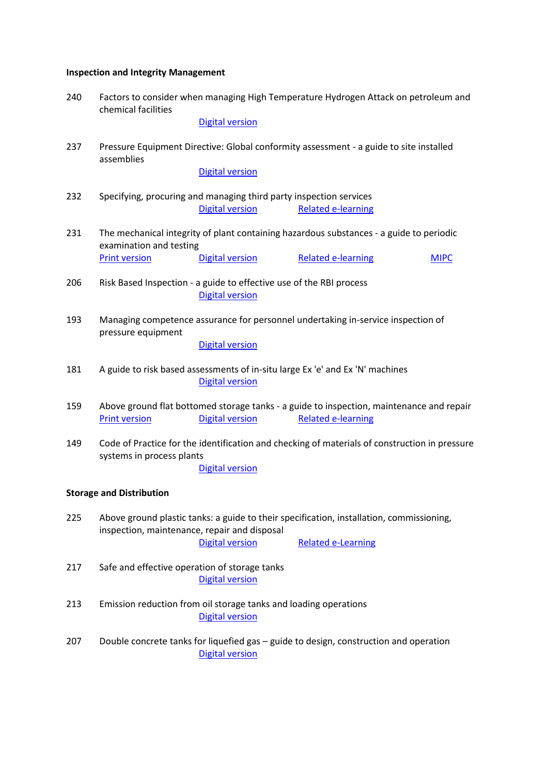# **Inspection and Integrity Management**

|     | chemical facilities                                                                                                                                                                             | <b>Digital version</b>                                                                        |                                                                                                                       |             |  |  |
|-----|-------------------------------------------------------------------------------------------------------------------------------------------------------------------------------------------------|-----------------------------------------------------------------------------------------------|-----------------------------------------------------------------------------------------------------------------------|-------------|--|--|
| 237 | Pressure Equipment Directive: Global conformity assessment - a guide to site installed<br>assemblies                                                                                            |                                                                                               |                                                                                                                       |             |  |  |
|     |                                                                                                                                                                                                 | <b>Digital version</b>                                                                        |                                                                                                                       |             |  |  |
| 232 |                                                                                                                                                                                                 | Specifying, procuring and managing third party inspection services<br><b>Digital version</b>  | <b>Related e-learning</b>                                                                                             |             |  |  |
| 231 | The mechanical integrity of plant containing hazardous substances - a guide to periodic<br>examination and testing                                                                              |                                                                                               |                                                                                                                       |             |  |  |
|     | <b>Print version</b>                                                                                                                                                                            | <b>Digital version</b>                                                                        | <b>Related e-learning</b>                                                                                             | <b>MIPC</b> |  |  |
| 206 |                                                                                                                                                                                                 | Risk Based Inspection - a guide to effective use of the RBI process<br><b>Digital version</b> |                                                                                                                       |             |  |  |
| 193 | Managing competence assurance for personnel undertaking in-service inspection of<br>pressure equipment<br><b>Digital version</b>                                                                |                                                                                               |                                                                                                                       |             |  |  |
| 181 | A guide to risk based assessments of in-situ large Ex 'e' and Ex 'N' machines<br><b>Digital version</b>                                                                                         |                                                                                               |                                                                                                                       |             |  |  |
| 159 | <b>Print version</b>                                                                                                                                                                            | <b>Digital version</b>                                                                        | Above ground flat bottomed storage tanks - a guide to inspection, maintenance and repair<br><b>Related e-learning</b> |             |  |  |
| 149 | Code of Practice for the identification and checking of materials of construction in pressure<br>systems in process plants<br><b>Digital version</b>                                            |                                                                                               |                                                                                                                       |             |  |  |
|     | <b>Storage and Distribution</b>                                                                                                                                                                 |                                                                                               |                                                                                                                       |             |  |  |
| 225 | Above ground plastic tanks: a guide to their specification, installation, commissioning,<br>inspection, maintenance, repair and disposal<br><b>Digital version</b><br><b>Related e-Learning</b> |                                                                                               |                                                                                                                       |             |  |  |
| 217 | Safe and effective operation of storage tanks<br><b>Digital version</b>                                                                                                                         |                                                                                               |                                                                                                                       |             |  |  |
| 213 |                                                                                                                                                                                                 | Emission reduction from oil storage tanks and loading operations<br><b>Digital version</b>    |                                                                                                                       |             |  |  |
| 207 | Double concrete tanks for liquefied gas - guide to design, construction and operation<br><b>Digital version</b>                                                                                 |                                                                                               |                                                                                                                       |             |  |  |

240 Factors to consider when managing High Temperature Hydrogen Attack on petroleum and